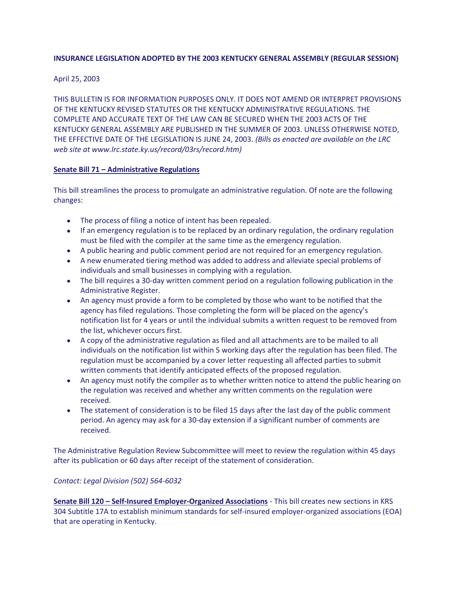# **INSURANCE LEGISLATION ADOPTED BY THE 2003 KENTUCKY GENERAL ASSEMBLY (REGULAR SESSION)**

April 25, 2003

THIS BULLETIN IS FOR INFORMATION PURPOSES ONLY. IT DOES NOT AMEND OR INTERPRET PROVISIONS OF THE KENTUCKY REVISED STATUTES OR THE KENTUCKY ADMINISTRATIVE REGULATIONS. THE COMPLETE AND ACCURATE TEXT OF THE LAW CAN BE SECURED WHEN THE 2003 ACTS OF THE KENTUCKY GENERAL ASSEMBLY ARE PUBLISHED IN THE SUMMER OF 2003. UNLESS OTHERWISE NOTED, THE EFFECTIVE DATE OF THE LEGISLATION IS JUNE 24, 2003. *(Bills as enacted are available on the LRC web site at www.lrc.state.ky.us/record/03rs/record.htm)*

# **Senate Bill 71 – Administrative Regulations**

This bill streamlines the process to promulgate an administrative regulation. Of note are the following changes:

- The process of filing a notice of intent has been repealed.
- If an emergency regulation is to be replaced by an ordinary regulation, the ordinary regulation must be filed with the compiler at the same time as the emergency regulation.
- A public hearing and public comment period are not required for an emergency regulation.
- A new enumerated tiering method was added to address and alleviate special problems of individuals and small businesses in complying with a regulation.
- The bill requires a 30-day written comment period on a regulation following publication in the Administrative Register.
- An agency must provide a form to be completed by those who want to be notified that the agency has filed regulations. Those completing the form will be placed on the agency's notification list for 4 years or until the individual submits a written request to be removed from the list, whichever occurs first.
- A copy of the administrative regulation as filed and all attachments are to be mailed to all individuals on the notification list within 5 working days after the regulation has been filed. The regulation must be accompanied by a cover letter requesting all affected parties to submit written comments that identify anticipated effects of the proposed regulation.
- An agency must notify the compiler as to whether written notice to attend the public hearing on the regulation was received and whether any written comments on the regulation were received.
- The statement of consideration is to be filed 15 days after the last day of the public comment period. An agency may ask for a 30-day extension if a significant number of comments are received.

The Administrative Regulation Review Subcommittee will meet to review the regulation within 45 days after its publication or 60 days after receipt of the statement of consideration.

# *Contact: Legal Division (502) 564-6032*

**Senate Bill 120 – Self-Insured Employer-Organized Associations** - This bill creates new sections in KRS 304 Subtitle 17A to establish minimum standards for self-insured employer-organized associations (EOA) that are operating in Kentucky.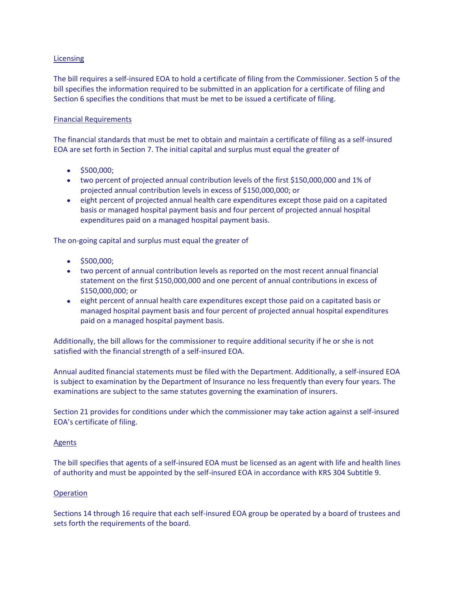## Licensing

The bill requires a self-insured EOA to hold a certificate of filing from the Commissioner. Section 5 of the bill specifies the information required to be submitted in an application for a certificate of filing and Section 6 specifies the conditions that must be met to be issued a certificate of filing.

## Financial Requirements

The financial standards that must be met to obtain and maintain a certificate of filing as a self-insured EOA are set forth in Section 7. The initial capital and surplus must equal the greater of

- $\bullet$  \$500,000;
- two percent of projected annual contribution levels of the first \$150,000,000 and 1% of projected annual contribution levels in excess of \$150,000,000; or
- eight percent of projected annual health care expenditures except those paid on a capitated basis or managed hospital payment basis and four percent of projected annual hospital expenditures paid on a managed hospital payment basis.

The on-going capital and surplus must equal the greater of

- $\bullet$  \$500,000;
- two percent of annual contribution levels as reported on the most recent annual financial statement on the first \$150,000,000 and one percent of annual contributions in excess of \$150,000,000; or
- eight percent of annual health care expenditures except those paid on a capitated basis or managed hospital payment basis and four percent of projected annual hospital expenditures paid on a managed hospital payment basis.

Additionally, the bill allows for the commissioner to require additional security if he or she is not satisfied with the financial strength of a self-insured EOA.

Annual audited financial statements must be filed with the Department. Additionally, a self-insured EOA is subject to examination by the Department of Insurance no less frequently than every four years. The examinations are subject to the same statutes governing the examination of insurers.

Section 21 provides for conditions under which the commissioner may take action against a self-insured EOA's certificate of filing.

### Agents

The bill specifies that agents of a self-insured EOA must be licensed as an agent with life and health lines of authority and must be appointed by the self-insured EOA in accordance with KRS 304 Subtitle 9.

### **Operation**

Sections 14 through 16 require that each self-insured EOA group be operated by a board of trustees and sets forth the requirements of the board.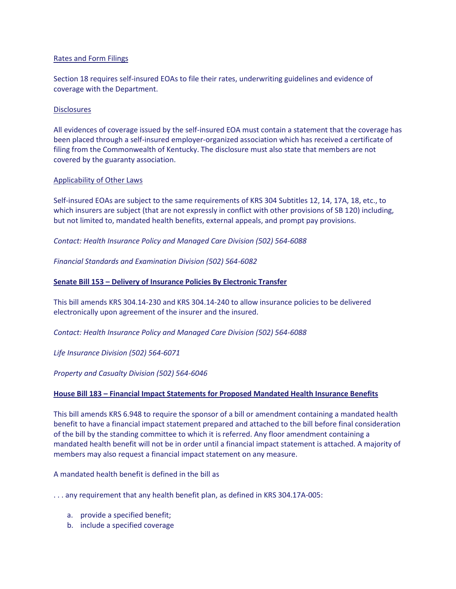## Rates and Form Filings

Section 18 requires self-insured EOAs to file their rates, underwriting guidelines and evidence of coverage with the Department.

## **Disclosures**

All evidences of coverage issued by the self-insured EOA must contain a statement that the coverage has been placed through a self-insured employer-organized association which has received a certificate of filing from the Commonwealth of Kentucky. The disclosure must also state that members are not covered by the guaranty association.

## Applicability of Other Laws

Self-insured EOAs are subject to the same requirements of KRS 304 Subtitles 12, 14, 17A, 18, etc., to which insurers are subject (that are not expressly in conflict with other provisions of SB 120) including, but not limited to, mandated health benefits, external appeals, and prompt pay provisions.

*Contact: Health Insurance Policy and Managed Care Division (502) 564-6088*

*Financial Standards and Examination Division (502) 564-6082*

## **Senate Bill 153 – Delivery of Insurance Policies By Electronic Transfer**

This bill amends KRS 304.14-230 and KRS 304.14-240 to allow insurance policies to be delivered electronically upon agreement of the insurer and the insured.

*Contact: Health Insurance Policy and Managed Care Division (502) 564-6088* 

*Life Insurance Division (502) 564-6071* 

*Property and Casualty Division (502) 564-6046* 

### **House Bill 183 – Financial Impact Statements for Proposed Mandated Health Insurance Benefits**

This bill amends KRS 6.948 to require the sponsor of a bill or amendment containing a mandated health benefit to have a financial impact statement prepared and attached to the bill before final consideration of the bill by the standing committee to which it is referred. Any floor amendment containing a mandated health benefit will not be in order until a financial impact statement is attached. A majority of members may also request a financial impact statement on any measure.

A mandated health benefit is defined in the bill as

. . . any requirement that any health benefit plan, as defined in KRS 304.17A-005:

- a. provide a specified benefit;
- b. include a specified coverage